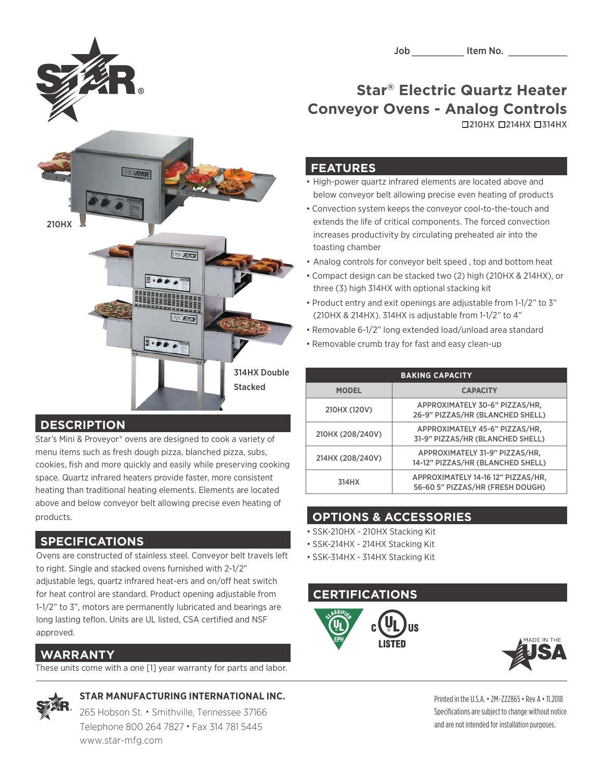

210HX 214HX 314HX

#### **FEATURES**

• High-power quartz infrared elements are located above and below conveyor belt allowing precise even heating of products

- Convection system keeps the conveyor cool-to-the-touch and extends the life of critical components. The forced convection increases productivity by circulating preheated air into the toasting chamber
- Analog controls for conveyor belt speed , top and bottom heat
- Compact design can be stacked two (2) high (210HX & 214HX), or three (3) high 314HX with optional stacking kit
- Product entry and exit openings are adjustable from 1-1/2" to 3" (210HX & 214HX). 314HX is adjustable from 1-1/2" to 4"
- Removable 6-1/2" long extended load/unload area standard
- Removable crumb tray for fast and easy clean-up

| <b>BAKING CAPACITY</b> |                                                                        |
|------------------------|------------------------------------------------------------------------|
| <b>MODEL</b>           | <b>CAPACITY</b>                                                        |
| 210HX (120V)           | APPROXIMATELY 30-6" PIZZAS/HR,<br>26-9" PIZZAS/HR (BLANCHED SHELL)     |
| 210HX (208/240V)       | APPROXIMATELY 45-6" PIZZAS/HR,<br>31-9" PIZZAS/HR (BLANCHED SHELL)     |
| 214HX (208/240V)       | APPROXIMATELY 31-9" PIZZAS/HR,<br>14-12" PIZZAS/HR (BLANCHED SHELL)    |
| 314HX                  | APPROXIMATELY 14-16 12" PIZZAS/HR,<br>56-60 5" PIZZAS/HR (FRESH DOUGH) |

## **OPTIONS & ACCESSORIES**

- SSK-210HX 210HX Stacking Kit
- SSK-214HX 214HX Stacking Kit
- SSK-314HX 314HX Stacking Kit

### **CERTIFICATIONS**





Printed in the U.S.A. • 2M-Z22865• Rev A • 11.2018 Specifications are subject to change without notice and are not intended for installation purposes.



### **DESCRIPTION**

Star's Mini & Proveyor® ovens are designed to cook a variety of menu items such as fresh dough pizza, blanched pizza, subs, cookies, fish and more quickly and easily while preserving cooking space. Quartz infrared heaters provide faster, more consistent heating than traditional heating elements. Elements are located above and below conveyor belt allowing precise even heating of products.

## **SPECIFICATIONS**

Ovens are constructed of stainless steel. Conveyor belt travels left to right. Single and stacked ovens furnished with 2-1/2" adjustable legs, quartz infrared heat-ers and on/off heat switch for heat control are standard. Product opening adjustable from 1-1/2" to 3", motors are permanently lubricated and bearings are long lasting teflon. Units are UL listed, CSA certified and NSF approved.

## **WARRANTY**

These units come with a one [1] year warranty for parts and labor.



## **STAR MANUFACTURING INTERNATIONAL INC.**

265 Hobson St. • Smithville, Tennessee 37166 Telephone 800 264 7827 • Fax 314 781 5445 www.star-mfg.com